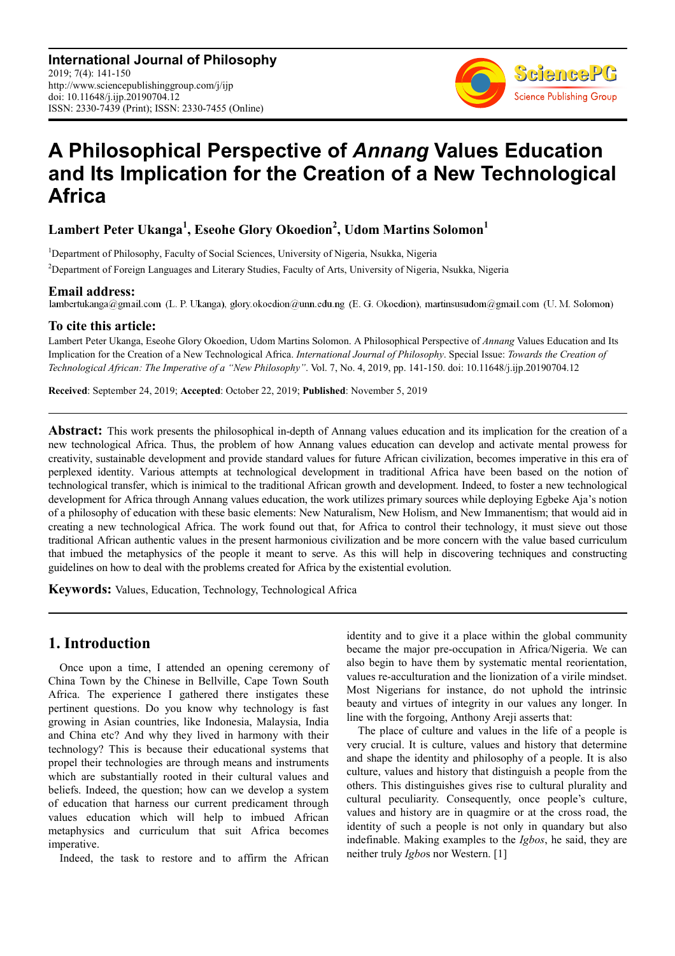**International Journal of Philosophy** 2019; 7(4): 141-150 http://www.sciencepublishinggroup.com/j/ijp doi: 10.11648/j.ijp.20190704.12 ISSN: 2330-7439 (Print); ISSN: 2330-7455 (Online)



# **A Philosophical Perspective of** *Annang* **Values Education and Its Implication for the Creation of a New Technological Africa**

## **Lambert Peter Ukanga<sup>1</sup> , Eseohe Glory Okoedion<sup>2</sup> , Udom Martins Solomon<sup>1</sup>**

<sup>1</sup>Department of Philosophy, Faculty of Social Sciences, University of Nigeria, Nsukka, Nigeria <sup>2</sup>Department of Foreign Languages and Literary Studies, Faculty of Arts, University of Nigeria, Nsukka, Nigeria

**Email address:**<br>lambertukanga@gmail.com (L. P. Ukanga), glory.okoedion@unn.edu.ng (E. G. Okoedion), martinsusudom@gmail.com (U. M. Solomon)

#### **To cite this article:**

Lambert Peter Ukanga, Eseohe Glory Okoedion, Udom Martins Solomon. A Philosophical Perspective of *Annang* Values Education and Its Implication for the Creation of a New Technological Africa. *International Journal of Philosophy*. Special Issue: *Towards the Creation of Technological African: The Imperative of a "New Philosophy"*. Vol. 7, No. 4, 2019, pp. 141-150. doi: 10.11648/j.ijp.20190704.12

**Received**: September 24, 2019; **Accepted**: October 22, 2019; **Published**: November 5, 2019

**Abstract:** This work presents the philosophical in-depth of Annang values education and its implication for the creation of a new technological Africa. Thus, the problem of how Annang values education can develop and activate mental prowess for creativity, sustainable development and provide standard values for future African civilization, becomes imperative in this era of perplexed identity. Various attempts at technological development in traditional Africa have been based on the notion of technological transfer, which is inimical to the traditional African growth and development. Indeed, to foster a new technological development for Africa through Annang values education, the work utilizes primary sources while deploying Egbeke Aja's notion of a philosophy of education with these basic elements: New Naturalism, New Holism, and New Immanentism; that would aid in creating a new technological Africa. The work found out that, for Africa to control their technology, it must sieve out those traditional African authentic values in the present harmonious civilization and be more concern with the value based curriculum that imbued the metaphysics of the people it meant to serve. As this will help in discovering techniques and constructing guidelines on how to deal with the problems created for Africa by the existential evolution.

**Keywords:** Values, Education, Technology, Technological Africa

## **1. Introduction**

Once upon a time, I attended an opening ceremony of China Town by the Chinese in Bellville, Cape Town South Africa. The experience I gathered there instigates these pertinent questions. Do you know why technology is fast growing in Asian countries, like Indonesia, Malaysia, India and China etc? And why they lived in harmony with their technology? This is because their educational systems that propel their technologies are through means and instruments which are substantially rooted in their cultural values and beliefs. Indeed, the question; how can we develop a system of education that harness our current predicament through values education which will help to imbued African metaphysics and curriculum that suit Africa becomes imperative.

Indeed, the task to restore and to affirm the African

identity and to give it a place within the global community became the major pre-occupation in Africa/Nigeria. We can also begin to have them by systematic mental reorientation, values re-acculturation and the lionization of a virile mindset. Most Nigerians for instance, do not uphold the intrinsic beauty and virtues of integrity in our values any longer. In line with the forgoing, Anthony Areji asserts that:

The place of culture and values in the life of a people is very crucial. It is culture, values and history that determine and shape the identity and philosophy of a people. It is also culture, values and history that distinguish a people from the others. This distinguishes gives rise to cultural plurality and cultural peculiarity. Consequently, once people's culture, values and history are in quagmire or at the cross road, the identity of such a people is not only in quandary but also indefinable. Making examples to the *Igbos*, he said, they are neither truly *Igbo*s nor Western. [1]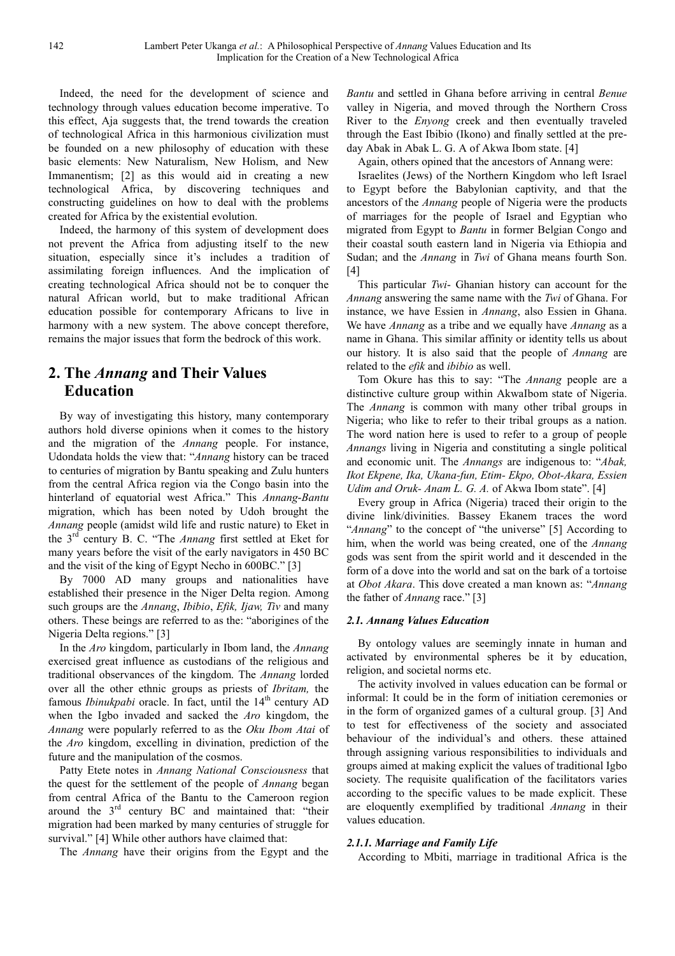Indeed, the need for the development of science and technology through values education become imperative. To this effect, Aja suggests that, the trend towards the creation of technological Africa in this harmonious civilization must be founded on a new philosophy of education with these basic elements: New Naturalism, New Holism, and New Immanentism; [2] as this would aid in creating a new technological Africa, by discovering techniques and constructing guidelines on how to deal with the problems created for Africa by the existential evolution.

Indeed, the harmony of this system of development does not prevent the Africa from adjusting itself to the new situation, especially since it's includes a tradition of assimilating foreign influences. And the implication of creating technological Africa should not be to conquer the natural African world, but to make traditional African education possible for contemporary Africans to live in harmony with a new system. The above concept therefore, remains the major issues that form the bedrock of this work.

## **2. The** *Annang* **and Their Values Education**

By way of investigating this history, many contemporary authors hold diverse opinions when it comes to the history and the migration of the *Annang* people. For instance, Udondata holds the view that: "*Annang* history can be traced to centuries of migration by Bantu speaking and Zulu hunters from the central Africa region via the Congo basin into the hinterland of equatorial west Africa." This *Annang*-*Bantu* migration, which has been noted by Udoh brought the *Annang* people (amidst wild life and rustic nature) to Eket in the 3rd century B. C. "The *Annang* first settled at Eket for many years before the visit of the early navigators in 450 BC and the visit of the king of Egypt Necho in 600BC." [3]

By 7000 AD many groups and nationalities have established their presence in the Niger Delta region. Among such groups are the *Annang*, *Ibibio*, *Efik, Ijaw, Tiv* and many others. These beings are referred to as the: "aborigines of the Nigeria Delta regions." [3]

In the *Aro* kingdom, particularly in Ibom land, the *Annang* exercised great influence as custodians of the religious and traditional observances of the kingdom. The *Annang* lorded over all the other ethnic groups as priests of *Ibritam,* the famous *Ibinukpabi* oracle. In fact, until the 14<sup>th</sup> century AD when the Igbo invaded and sacked the *Aro* kingdom, the *Annang* were popularly referred to as the *Oku Ibom Atai* of the *Aro* kingdom, excelling in divination, prediction of the future and the manipulation of the cosmos.

Patty Etete notes in *Annang National Consciousness* that the quest for the settlement of the people of *Annang* began from central Africa of the Bantu to the Cameroon region around the 3rd century BC and maintained that: "their migration had been marked by many centuries of struggle for survival." [4] While other authors have claimed that:

The *Annang* have their origins from the Egypt and the

*Bantu* and settled in Ghana before arriving in central *Benue* valley in Nigeria, and moved through the Northern Cross River to the *Enyong* creek and then eventually traveled through the East Ibibio (Ikono) and finally settled at the preday Abak in Abak L. G. A of Akwa Ibom state. [4]

Again, others opined that the ancestors of Annang were:

Israelites (Jews) of the Northern Kingdom who left Israel to Egypt before the Babylonian captivity, and that the ancestors of the *Annang* people of Nigeria were the products of marriages for the people of Israel and Egyptian who migrated from Egypt to *Bantu* in former Belgian Congo and their coastal south eastern land in Nigeria via Ethiopia and Sudan; and the *Annang* in *Twi* of Ghana means fourth Son. [4]

This particular *Twi*- Ghanian history can account for the *Annang* answering the same name with the *Twi* of Ghana. For instance, we have Essien in *Annang*, also Essien in Ghana. We have *Annang* as a tribe and we equally have *Annang* as a name in Ghana. This similar affinity or identity tells us about our history. It is also said that the people of *Annang* are related to the *efik* and *ibibio* as well.

Tom Okure has this to say: "The *Annang* people are a distinctive culture group within AkwaIbom state of Nigeria. The *Annang* is common with many other tribal groups in Nigeria; who like to refer to their tribal groups as a nation. The word nation here is used to refer to a group of people *Annangs* living in Nigeria and constituting a single political and economic unit. The *Annangs* are indigenous to: "*Abak, Ikot Ekpene, Ika, Ukana-fun, Etim- Ekpo, Obot-Akara, Essien Udim and Oruk- Anam L. G. A.* of Akwa Ibom state". [4]

Every group in Africa (Nigeria) traced their origin to the divine link/divinities. Bassey Ekanem traces the word "*Annang*" to the concept of "the universe" [5] According to him, when the world was being created, one of the *Annang* gods was sent from the spirit world and it descended in the form of a dove into the world and sat on the bark of a tortoise at *Obot Akara*. This dove created a man known as: "*Annang* the father of *Annang* race." [3]

#### *2.1. Annang Values Education*

By ontology values are seemingly innate in human and activated by environmental spheres be it by education, religion, and societal norms etc.

The activity involved in values education can be formal or informal: It could be in the form of initiation ceremonies or in the form of organized games of a cultural group. [3] And to test for effectiveness of the society and associated behaviour of the individual's and others. these attained through assigning various responsibilities to individuals and groups aimed at making explicit the values of traditional Igbo society. The requisite qualification of the facilitators varies according to the specific values to be made explicit. These are eloquently exemplified by traditional *Annang* in their values education.

#### *2.1.1. Marriage and Family Life*

According to Mbiti, marriage in traditional Africa is the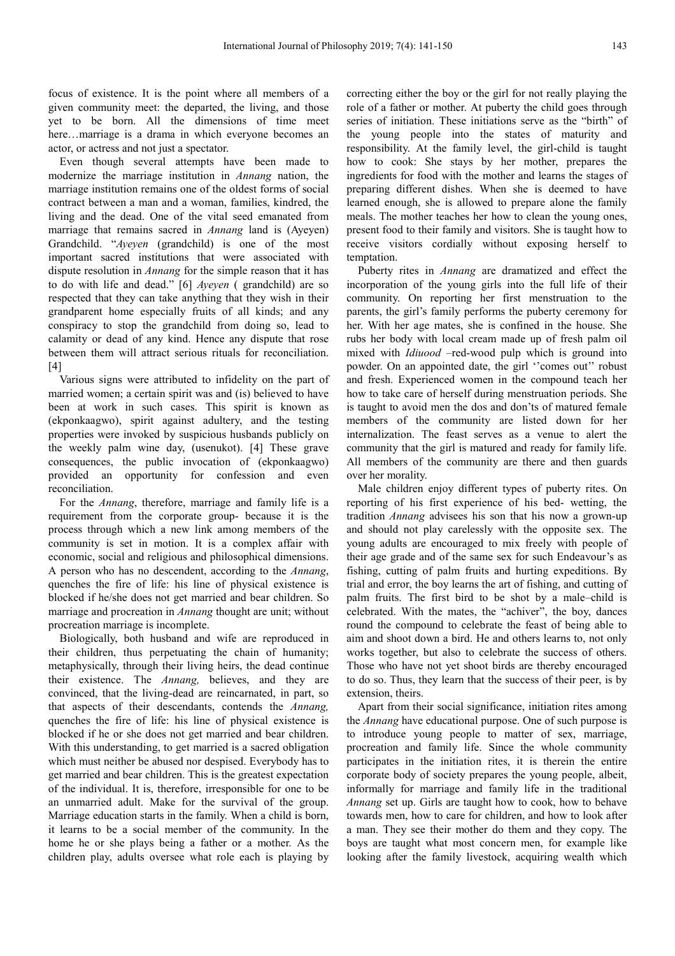focus of existence. It is the point where all members of a given community meet: the departed, the living, and those yet to be born. All the dimensions of time meet here…marriage is a drama in which everyone becomes an actor, or actress and not just a spectator.

Even though several attempts have been made to modernize the marriage institution in *Annang* nation, the marriage institution remains one of the oldest forms of social contract between a man and a woman, families, kindred, the living and the dead. One of the vital seed emanated from marriage that remains sacred in *Annang* land is (Ayeyen) Grandchild. "*Ayeyen* (grandchild) is one of the most important sacred institutions that were associated with dispute resolution in *Annang* for the simple reason that it has to do with life and dead." [6] *Ayeyen* ( grandchild) are so respected that they can take anything that they wish in their grandparent home especially fruits of all kinds; and any conspiracy to stop the grandchild from doing so, lead to calamity or dead of any kind. Hence any dispute that rose between them will attract serious rituals for reconciliation. [4]

Various signs were attributed to infidelity on the part of married women; a certain spirit was and (is) believed to have been at work in such cases. This spirit is known as (ekponkaagwo), spirit against adultery, and the testing properties were invoked by suspicious husbands publicly on the weekly palm wine day, (usenukot). [4] These grave consequences, the public invocation of (ekponkaagwo) provided an opportunity for confession and even reconciliation.

For the *Annang*, therefore, marriage and family life is a requirement from the corporate group- because it is the process through which a new link among members of the community is set in motion. It is a complex affair with economic, social and religious and philosophical dimensions. A person who has no descendent, according to the *Annang*, quenches the fire of life: his line of physical existence is blocked if he/she does not get married and bear children. So marriage and procreation in *Annang* thought are unit; without procreation marriage is incomplete.

Biologically, both husband and wife are reproduced in their children, thus perpetuating the chain of humanity; metaphysically, through their living heirs, the dead continue their existence. The *Annang,* believes, and they are convinced, that the living-dead are reincarnated, in part, so that aspects of their descendants, contends the *Annang,* quenches the fire of life: his line of physical existence is blocked if he or she does not get married and bear children. With this understanding, to get married is a sacred obligation which must neither be abused nor despised. Everybody has to get married and bear children. This is the greatest expectation of the individual. It is, therefore, irresponsible for one to be an unmarried adult. Make for the survival of the group. Marriage education starts in the family. When a child is born, it learns to be a social member of the community. In the home he or she plays being a father or a mother. As the children play, adults oversee what role each is playing by correcting either the boy or the girl for not really playing the role of a father or mother. At puberty the child goes through series of initiation. These initiations serve as the "birth" of the young people into the states of maturity and responsibility. At the family level, the girl-child is taught how to cook: She stays by her mother, prepares the ingredients for food with the mother and learns the stages of preparing different dishes. When she is deemed to have learned enough, she is allowed to prepare alone the family meals. The mother teaches her how to clean the young ones, present food to their family and visitors. She is taught how to receive visitors cordially without exposing herself to temptation.

Puberty rites in *Annang* are dramatized and effect the incorporation of the young girls into the full life of their community. On reporting her first menstruation to the parents, the girl's family performs the puberty ceremony for her. With her age mates, she is confined in the house. She rubs her body with local cream made up of fresh palm oil mixed with *Idiuood* –red-wood pulp which is ground into powder. On an appointed date, the girl "comes out" robust and fresh. Experienced women in the compound teach her how to take care of herself during menstruation periods. She is taught to avoid men the dos and don'ts of matured female members of the community are listed down for her internalization. The feast serves as a venue to alert the community that the girl is matured and ready for family life. All members of the community are there and then guards over her morality.

Male children enjoy different types of puberty rites. On reporting of his first experience of his bed- wetting, the tradition *Annang* advisees his son that his now a grown-up and should not play carelessly with the opposite sex. The young adults are encouraged to mix freely with people of their age grade and of the same sex for such Endeavour's as fishing, cutting of palm fruits and hurting expeditions. By trial and error, the boy learns the art of fishing, and cutting of palm fruits. The first bird to be shot by a male–child is celebrated. With the mates, the "achiver", the boy, dances round the compound to celebrate the feast of being able to aim and shoot down a bird. He and others learns to, not only works together, but also to celebrate the success of others. Those who have not yet shoot birds are thereby encouraged to do so. Thus, they learn that the success of their peer, is by extension, theirs.

Apart from their social significance, initiation rites among the *Annang* have educational purpose. One of such purpose is to introduce young people to matter of sex, marriage, procreation and family life. Since the whole community participates in the initiation rites, it is therein the entire corporate body of society prepares the young people, albeit, informally for marriage and family life in the traditional *Annang* set up. Girls are taught how to cook, how to behave towards men, how to care for children, and how to look after a man. They see their mother do them and they copy. The boys are taught what most concern men, for example like looking after the family livestock, acquiring wealth which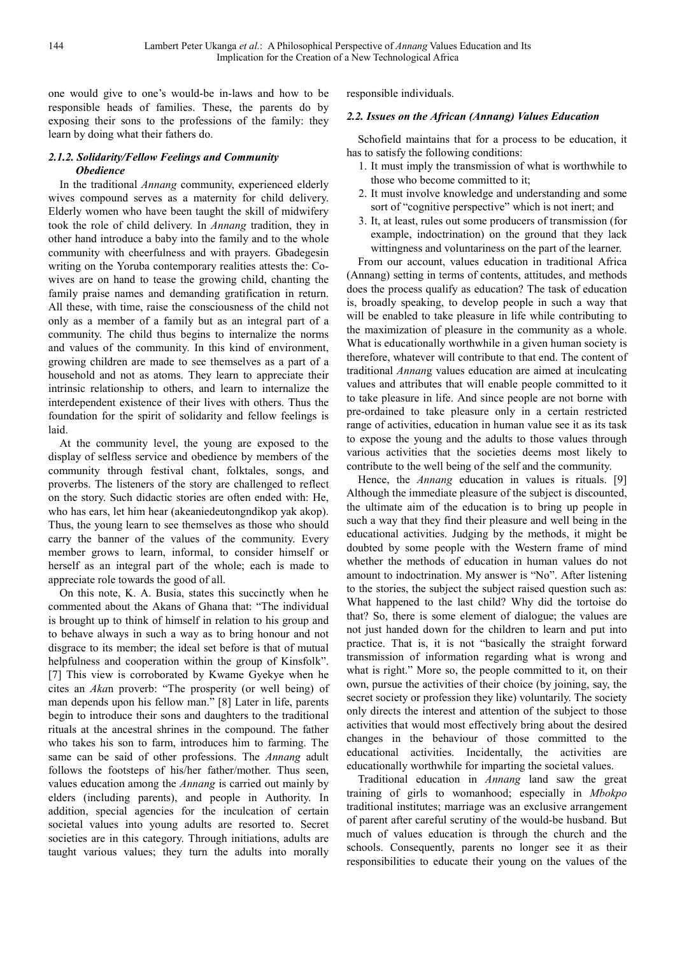one would give to one's would-be in-laws and how to be responsible heads of families. These, the parents do by exposing their sons to the professions of the family: they learn by doing what their fathers do.

#### *2.1.2. Solidarity/Fellow Feelings and Community Obedience*

In the traditional *Annang* community, experienced elderly wives compound serves as a maternity for child delivery. Elderly women who have been taught the skill of midwifery took the role of child delivery. In *Annang* tradition, they in other hand introduce a baby into the family and to the whole community with cheerfulness and with prayers. Gbadegesin writing on the Yoruba contemporary realities attests the: Cowives are on hand to tease the growing child, chanting the family praise names and demanding gratification in return. All these, with time, raise the consciousness of the child not only as a member of a family but as an integral part of a community. The child thus begins to internalize the norms and values of the community. In this kind of environment, growing children are made to see themselves as a part of a household and not as atoms. They learn to appreciate their intrinsic relationship to others, and learn to internalize the interdependent existence of their lives with others. Thus the foundation for the spirit of solidarity and fellow feelings is laid.

At the community level, the young are exposed to the display of selfless service and obedience by members of the community through festival chant, folktales, songs, and proverbs. The listeners of the story are challenged to reflect on the story. Such didactic stories are often ended with: He, who has ears, let him hear (akeaniedeutongndikop yak akop). Thus, the young learn to see themselves as those who should carry the banner of the values of the community. Every member grows to learn, informal, to consider himself or herself as an integral part of the whole; each is made to appreciate role towards the good of all.

On this note, K. A. Busia, states this succinctly when he commented about the Akans of Ghana that: "The individual is brought up to think of himself in relation to his group and to behave always in such a way as to bring honour and not disgrace to its member; the ideal set before is that of mutual helpfulness and cooperation within the group of Kinsfolk". [7] This view is corroborated by Kwame Gyekye when he cites an *Aka*n proverb: "The prosperity (or well being) of man depends upon his fellow man." [8] Later in life, parents begin to introduce their sons and daughters to the traditional rituals at the ancestral shrines in the compound. The father who takes his son to farm, introduces him to farming. The same can be said of other professions. The *Annang* adult follows the footsteps of his/her father/mother. Thus seen, values education among the *Annang* is carried out mainly by elders (including parents), and people in Authority. In addition, special agencies for the inculcation of certain societal values into young adults are resorted to. Secret societies are in this category. Through initiations, adults are taught various values; they turn the adults into morally

responsible individuals.

#### *2.2. Issues on the African (Annang) Values Education*

Schofield maintains that for a process to be education, it has to satisfy the following conditions:

- 1. It must imply the transmission of what is worthwhile to those who become committed to it;
- 2. It must involve knowledge and understanding and some sort of "cognitive perspective" which is not inert; and
- 3. It, at least, rules out some producers of transmission (for example, indoctrination) on the ground that they lack wittingness and voluntariness on the part of the learner.

From our account, values education in traditional Africa (Annang) setting in terms of contents, attitudes, and methods does the process qualify as education? The task of education is, broadly speaking, to develop people in such a way that will be enabled to take pleasure in life while contributing to the maximization of pleasure in the community as a whole. What is educationally worthwhile in a given human society is therefore, whatever will contribute to that end. The content of traditional *Annan*g values education are aimed at inculcating values and attributes that will enable people committed to it to take pleasure in life. And since people are not borne with pre-ordained to take pleasure only in a certain restricted range of activities, education in human value see it as its task to expose the young and the adults to those values through various activities that the societies deems most likely to contribute to the well being of the self and the community.

Hence, the *Annang* education in values is rituals. [9] Although the immediate pleasure of the subject is discounted, the ultimate aim of the education is to bring up people in such a way that they find their pleasure and well being in the educational activities. Judging by the methods, it might be doubted by some people with the Western frame of mind whether the methods of education in human values do not amount to indoctrination. My answer is "No". After listening to the stories, the subject the subject raised question such as: What happened to the last child? Why did the tortoise do that? So, there is some element of dialogue; the values are not just handed down for the children to learn and put into practice. That is, it is not "basically the straight forward transmission of information regarding what is wrong and what is right." More so, the people committed to it, on their own, pursue the activities of their choice (by joining, say, the secret society or profession they like) voluntarily. The society only directs the interest and attention of the subject to those activities that would most effectively bring about the desired changes in the behaviour of those committed to the educational activities. Incidentally, the activities are educationally worthwhile for imparting the societal values.

Traditional education in *Annang* land saw the great training of girls to womanhood; especially in *Mbokpo* traditional institutes; marriage was an exclusive arrangement of parent after careful scrutiny of the would-be husband. But much of values education is through the church and the schools. Consequently, parents no longer see it as their responsibilities to educate their young on the values of the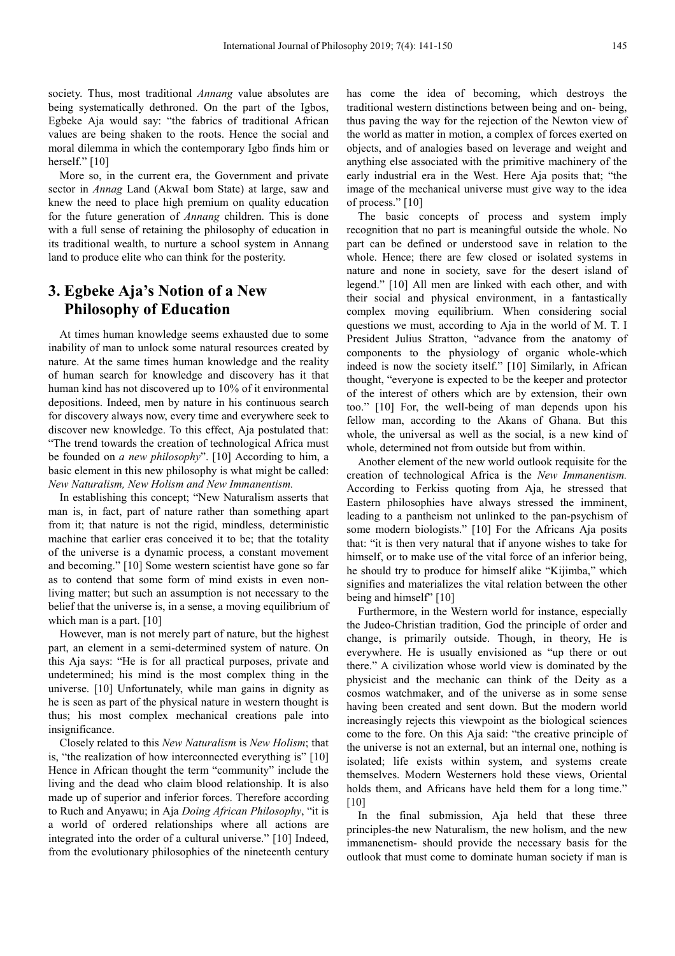society. Thus, most traditional *Annang* value absolutes are being systematically dethroned. On the part of the Igbos, Egbeke Aja would say: "the fabrics of traditional African values are being shaken to the roots. Hence the social and moral dilemma in which the contemporary Igbo finds him or herself." [10]

More so, in the current era, the Government and private sector in *Annag* Land (AkwaI bom State) at large, saw and knew the need to place high premium on quality education for the future generation of *Annang* children. This is done with a full sense of retaining the philosophy of education in its traditional wealth, to nurture a school system in Annang land to produce elite who can think for the posterity.

## **3. Egbeke Aja's Notion of a New Philosophy of Education**

At times human knowledge seems exhausted due to some inability of man to unlock some natural resources created by nature. At the same times human knowledge and the reality of human search for knowledge and discovery has it that human kind has not discovered up to 10% of it environmental depositions. Indeed, men by nature in his continuous search for discovery always now, every time and everywhere seek to discover new knowledge. To this effect, Aja postulated that: "The trend towards the creation of technological Africa must be founded on *a new philosophy*". [10] According to him, a basic element in this new philosophy is what might be called: *New Naturalism, New Holism and New Immanentism.*

In establishing this concept; "New Naturalism asserts that man is, in fact, part of nature rather than something apart from it; that nature is not the rigid, mindless, deterministic machine that earlier eras conceived it to be; that the totality of the universe is a dynamic process, a constant movement and becoming." [10] Some western scientist have gone so far as to contend that some form of mind exists in even nonliving matter; but such an assumption is not necessary to the belief that the universe is, in a sense, a moving equilibrium of which man is a part. [10]

However, man is not merely part of nature, but the highest part, an element in a semi-determined system of nature. On this Aja says: "He is for all practical purposes, private and undetermined; his mind is the most complex thing in the universe. [10] Unfortunately, while man gains in dignity as he is seen as part of the physical nature in western thought is thus; his most complex mechanical creations pale into insignificance.

Closely related to this *New Naturalism* is *New Holism*; that is, "the realization of how interconnected everything is" [10] Hence in African thought the term "community" include the living and the dead who claim blood relationship. It is also made up of superior and inferior forces. Therefore according to Ruch and Anyawu; in Aja *Doing African Philosophy*, "it is a world of ordered relationships where all actions are integrated into the order of a cultural universe." [10] Indeed, from the evolutionary philosophies of the nineteenth century

has come the idea of becoming, which destroys the traditional western distinctions between being and on- being, thus paving the way for the rejection of the Newton view of the world as matter in motion, a complex of forces exerted on objects, and of analogies based on leverage and weight and anything else associated with the primitive machinery of the early industrial era in the West. Here Aja posits that; "the image of the mechanical universe must give way to the idea of process." [10]

The basic concepts of process and system imply recognition that no part is meaningful outside the whole. No part can be defined or understood save in relation to the whole. Hence; there are few closed or isolated systems in nature and none in society, save for the desert island of legend." [10] All men are linked with each other, and with their social and physical environment, in a fantastically complex moving equilibrium. When considering social questions we must, according to Aja in the world of M. T. I President Julius Stratton, "advance from the anatomy of components to the physiology of organic whole-which indeed is now the society itself." [10] Similarly, in African thought, "everyone is expected to be the keeper and protector of the interest of others which are by extension, their own too." [10] For, the well-being of man depends upon his fellow man, according to the Akans of Ghana. But this whole, the universal as well as the social, is a new kind of whole, determined not from outside but from within.

Another element of the new world outlook requisite for the creation of technological Africa is the *New Immanentism.* According to Ferkiss quoting from Aja, he stressed that Eastern philosophies have always stressed the imminent, leading to a pantheism not unlinked to the pan-psychism of some modern biologists." [10] For the Africans Aja posits that: "it is then very natural that if anyone wishes to take for himself, or to make use of the vital force of an inferior being, he should try to produce for himself alike "Kijimba," which signifies and materializes the vital relation between the other being and himself" [10]

Furthermore, in the Western world for instance, especially the Judeo-Christian tradition, God the principle of order and change, is primarily outside. Though, in theory, He is everywhere. He is usually envisioned as "up there or out there." A civilization whose world view is dominated by the physicist and the mechanic can think of the Deity as a cosmos watchmaker, and of the universe as in some sense having been created and sent down. But the modern world increasingly rejects this viewpoint as the biological sciences come to the fore. On this Aja said: "the creative principle of the universe is not an external, but an internal one, nothing is isolated; life exists within system, and systems create themselves. Modern Westerners hold these views, Oriental holds them, and Africans have held them for a long time." [10]

In the final submission, Aja held that these three principles-the new Naturalism, the new holism, and the new immanenetism- should provide the necessary basis for the outlook that must come to dominate human society if man is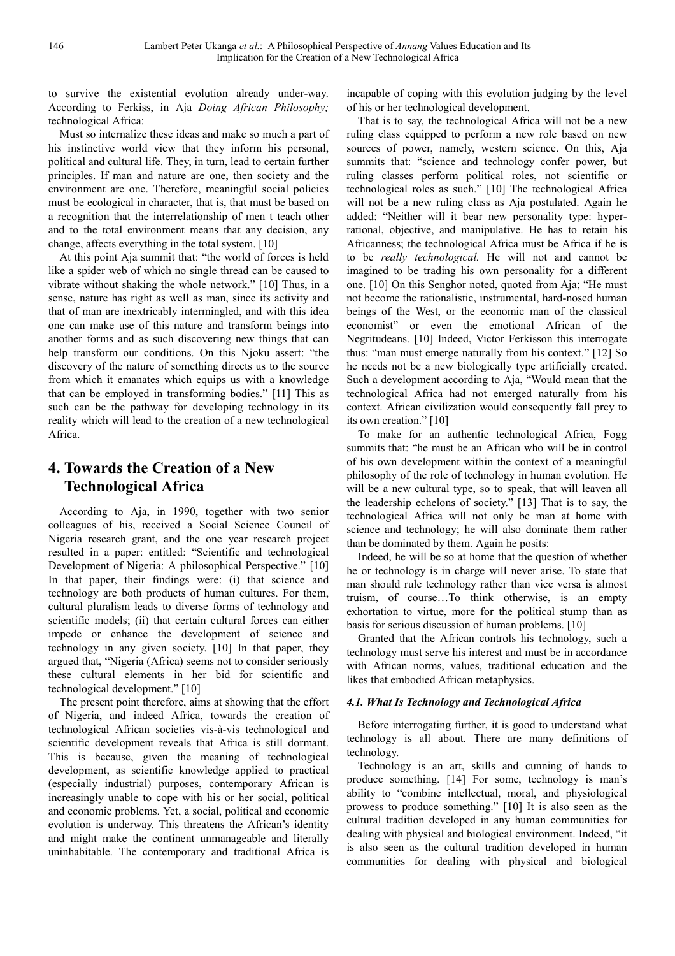to survive the existential evolution already under-way. According to Ferkiss, in Aja *Doing African Philosophy;* technological Africa:

Must so internalize these ideas and make so much a part of his instinctive world view that they inform his personal, political and cultural life. They, in turn, lead to certain further principles. If man and nature are one, then society and the environment are one. Therefore, meaningful social policies must be ecological in character, that is, that must be based on a recognition that the interrelationship of men t teach other and to the total environment means that any decision, any change, affects everything in the total system. [10]

At this point Aja summit that: "the world of forces is held like a spider web of which no single thread can be caused to vibrate without shaking the whole network." [10] Thus, in a sense, nature has right as well as man, since its activity and that of man are inextricably intermingled, and with this idea one can make use of this nature and transform beings into another forms and as such discovering new things that can help transform our conditions. On this Njoku assert: "the discovery of the nature of something directs us to the source from which it emanates which equips us with a knowledge that can be employed in transforming bodies." [11] This as such can be the pathway for developing technology in its reality which will lead to the creation of a new technological Africa.

## **4. Towards the Creation of a New Technological Africa**

According to Aja, in 1990, together with two senior colleagues of his, received a Social Science Council of Nigeria research grant, and the one year research project resulted in a paper: entitled: "Scientific and technological Development of Nigeria: A philosophical Perspective." [10] In that paper, their findings were: (i) that science and technology are both products of human cultures. For them, cultural pluralism leads to diverse forms of technology and scientific models; (ii) that certain cultural forces can either impede or enhance the development of science and technology in any given society. [10] In that paper, they argued that, "Nigeria (Africa) seems not to consider seriously these cultural elements in her bid for scientific and technological development." [10]

The present point therefore, aims at showing that the effort of Nigeria, and indeed Africa, towards the creation of technological African societies vis-à-vis technological and scientific development reveals that Africa is still dormant. This is because, given the meaning of technological development, as scientific knowledge applied to practical (especially industrial) purposes, contemporary African is increasingly unable to cope with his or her social, political and economic problems. Yet, a social, political and economic evolution is underway. This threatens the African's identity and might make the continent unmanageable and literally uninhabitable. The contemporary and traditional Africa is incapable of coping with this evolution judging by the level of his or her technological development.

That is to say, the technological Africa will not be a new ruling class equipped to perform a new role based on new sources of power, namely, western science. On this, Aja summits that: "science and technology confer power, but ruling classes perform political roles, not scientific or technological roles as such." [10] The technological Africa will not be a new ruling class as Aja postulated. Again he added: "Neither will it bear new personality type: hyperrational, objective, and manipulative. He has to retain his Africanness; the technological Africa must be Africa if he is to be *really technological.* He will not and cannot be imagined to be trading his own personality for a different one. [10] On this Senghor noted, quoted from Aja; "He must not become the rationalistic, instrumental, hard-nosed human beings of the West, or the economic man of the classical economist" or even the emotional African of the Negritudeans. [10] Indeed, Victor Ferkisson this interrogate thus: "man must emerge naturally from his context." [12] So he needs not be a new biologically type artificially created. Such a development according to Aja, "Would mean that the technological Africa had not emerged naturally from his context. African civilization would consequently fall prey to its own creation." [10]

To make for an authentic technological Africa, Fogg summits that: "he must be an African who will be in control of his own development within the context of a meaningful philosophy of the role of technology in human evolution. He will be a new cultural type, so to speak, that will leaven all the leadership echelons of society." [13] That is to say, the technological Africa will not only be man at home with science and technology; he will also dominate them rather than be dominated by them. Again he posits:

Indeed, he will be so at home that the question of whether he or technology is in charge will never arise. To state that man should rule technology rather than vice versa is almost truism, of course…To think otherwise, is an empty exhortation to virtue, more for the political stump than as basis for serious discussion of human problems. [10]

Granted that the African controls his technology, such a technology must serve his interest and must be in accordance with African norms, values, traditional education and the likes that embodied African metaphysics.

#### *4.1. What Is Technology and Technological Africa*

Before interrogating further, it is good to understand what technology is all about. There are many definitions of technology.

Technology is an art, skills and cunning of hands to produce something. [14] For some, technology is man's ability to "combine intellectual, moral, and physiological prowess to produce something." [10] It is also seen as the cultural tradition developed in any human communities for dealing with physical and biological environment. Indeed, "it is also seen as the cultural tradition developed in human communities for dealing with physical and biological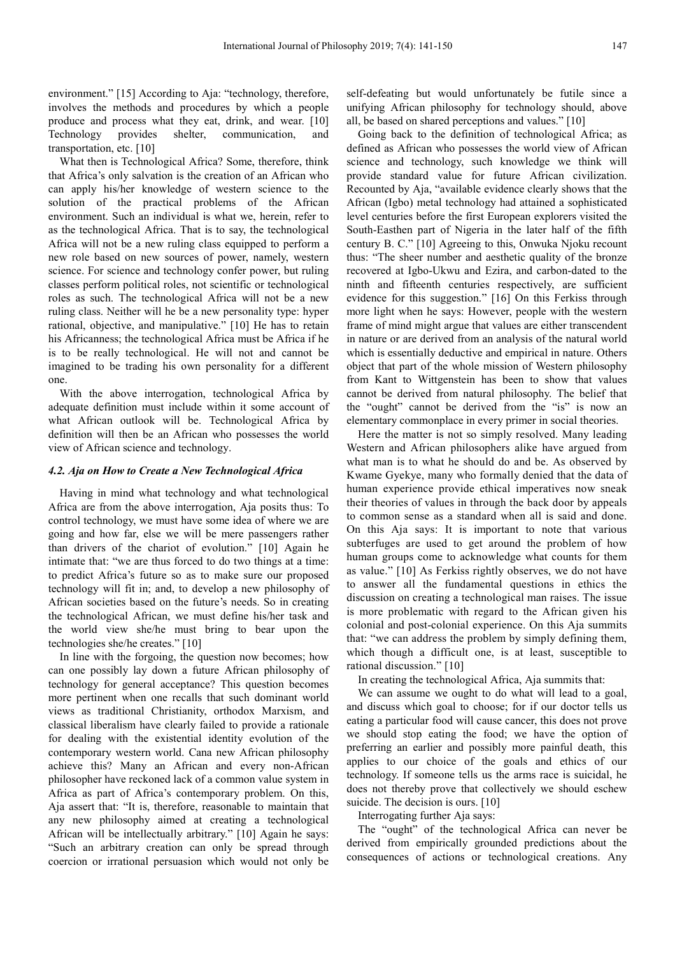environment." [15] According to Aja: "technology, therefore, involves the methods and procedures by which a people produce and process what they eat, drink, and wear. [10] Technology provides shelter, communication, and transportation, etc. [10]

What then is Technological Africa? Some, therefore, think that Africa's only salvation is the creation of an African who can apply his/her knowledge of western science to the solution of the practical problems of the African environment. Such an individual is what we, herein, refer to as the technological Africa. That is to say, the technological Africa will not be a new ruling class equipped to perform a new role based on new sources of power, namely, western science. For science and technology confer power, but ruling classes perform political roles, not scientific or technological roles as such. The technological Africa will not be a new ruling class. Neither will he be a new personality type: hyper rational, objective, and manipulative." [10] He has to retain his Africanness; the technological Africa must be Africa if he is to be really technological. He will not and cannot be imagined to be trading his own personality for a different one.

With the above interrogation, technological Africa by adequate definition must include within it some account of what African outlook will be. Technological Africa by definition will then be an African who possesses the world view of African science and technology.

#### *4.2. Aja on How to Create a New Technological Africa*

Having in mind what technology and what technological Africa are from the above interrogation, Aja posits thus: To control technology, we must have some idea of where we are going and how far, else we will be mere passengers rather than drivers of the chariot of evolution." [10] Again he intimate that: "we are thus forced to do two things at a time: to predict Africa's future so as to make sure our proposed technology will fit in; and, to develop a new philosophy of African societies based on the future's needs. So in creating the technological African, we must define his/her task and the world view she/he must bring to bear upon the technologies she/he creates." [10]

In line with the forgoing, the question now becomes; how can one possibly lay down a future African philosophy of technology for general acceptance? This question becomes more pertinent when one recalls that such dominant world views as traditional Christianity, orthodox Marxism, and classical liberalism have clearly failed to provide a rationale for dealing with the existential identity evolution of the contemporary western world. Cana new African philosophy achieve this? Many an African and every non-African philosopher have reckoned lack of a common value system in Africa as part of Africa's contemporary problem. On this, Aja assert that: "It is, therefore, reasonable to maintain that any new philosophy aimed at creating a technological African will be intellectually arbitrary." [10] Again he says: "Such an arbitrary creation can only be spread through coercion or irrational persuasion which would not only be

self-defeating but would unfortunately be futile since a unifying African philosophy for technology should, above all, be based on shared perceptions and values." [10]

Going back to the definition of technological Africa; as defined as African who possesses the world view of African science and technology, such knowledge we think will provide standard value for future African civilization. Recounted by Aja, "available evidence clearly shows that the African (Igbo) metal technology had attained a sophisticated level centuries before the first European explorers visited the South-Easthen part of Nigeria in the later half of the fifth century B. C." [10] Agreeing to this, Onwuka Njoku recount thus: "The sheer number and aesthetic quality of the bronze recovered at Igbo-Ukwu and Ezira, and carbon-dated to the ninth and fifteenth centuries respectively, are sufficient evidence for this suggestion." [16] On this Ferkiss through more light when he says: However, people with the western frame of mind might argue that values are either transcendent in nature or are derived from an analysis of the natural world which is essentially deductive and empirical in nature. Others object that part of the whole mission of Western philosophy from Kant to Wittgenstein has been to show that values cannot be derived from natural philosophy. The belief that the "ought" cannot be derived from the "is" is now an elementary commonplace in every primer in social theories.

Here the matter is not so simply resolved. Many leading Western and African philosophers alike have argued from what man is to what he should do and be. As observed by Kwame Gyekye, many who formally denied that the data of human experience provide ethical imperatives now sneak their theories of values in through the back door by appeals to common sense as a standard when all is said and done. On this Aja says: It is important to note that various subterfuges are used to get around the problem of how human groups come to acknowledge what counts for them as value." [10] As Ferkiss rightly observes, we do not have to answer all the fundamental questions in ethics the discussion on creating a technological man raises. The issue is more problematic with regard to the African given his colonial and post-colonial experience. On this Aja summits that: "we can address the problem by simply defining them, which though a difficult one, is at least, susceptible to rational discussion." [10]

In creating the technological Africa, Aja summits that:

We can assume we ought to do what will lead to a goal, and discuss which goal to choose; for if our doctor tells us eating a particular food will cause cancer, this does not prove we should stop eating the food; we have the option of preferring an earlier and possibly more painful death, this applies to our choice of the goals and ethics of our technology. If someone tells us the arms race is suicidal, he does not thereby prove that collectively we should eschew suicide. The decision is ours. [10]

Interrogating further Aja says:

The "ought" of the technological Africa can never be derived from empirically grounded predictions about the consequences of actions or technological creations. Any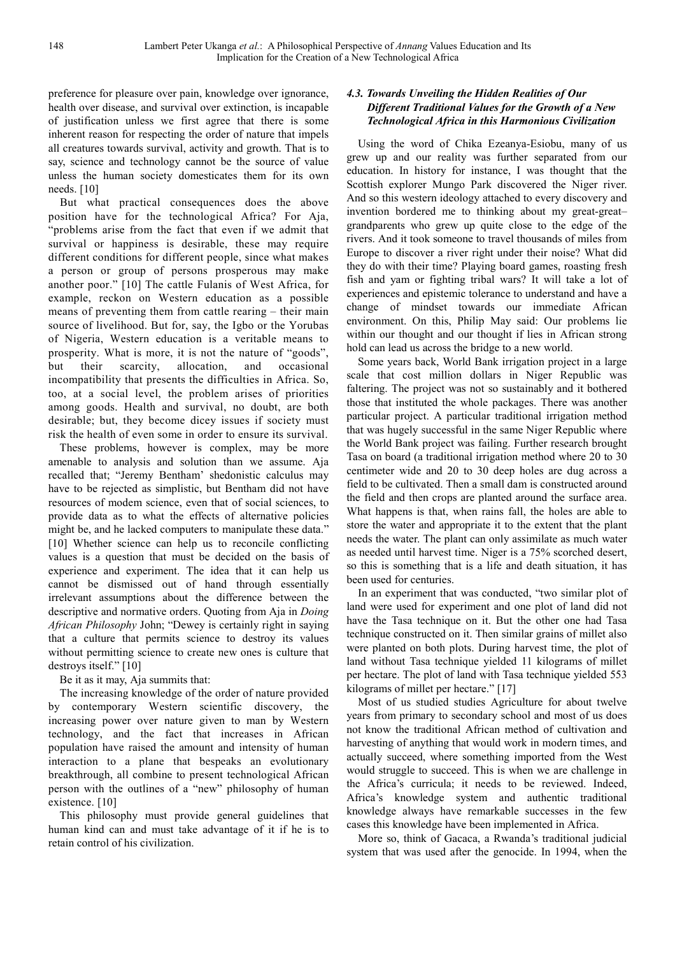preference for pleasure over pain, knowledge over ignorance, health over disease, and survival over extinction, is incapable of justification unless we first agree that there is some inherent reason for respecting the order of nature that impels all creatures towards survival, activity and growth. That is to say, science and technology cannot be the source of value unless the human society domesticates them for its own needs. [10]

But what practical consequences does the above position have for the technological Africa? For Aja, "problems arise from the fact that even if we admit that survival or happiness is desirable, these may require different conditions for different people, since what makes a person or group of persons prosperous may make another poor." [10] The cattle Fulanis of West Africa, for example, reckon on Western education as a possible means of preventing them from cattle rearing – their main source of livelihood. But for, say, the Igbo or the Yorubas of Nigeria, Western education is a veritable means to prosperity. What is more, it is not the nature of "goods", but their scarcity, allocation, and occasional incompatibility that presents the difficulties in Africa. So, too, at a social level, the problem arises of priorities among goods. Health and survival, no doubt, are both desirable; but, they become dicey issues if society must risk the health of even some in order to ensure its survival.

These problems, however is complex, may be more amenable to analysis and solution than we assume. Aja recalled that; "Jeremy Bentham' shedonistic calculus may have to be rejected as simplistic, but Bentham did not have resources of modem science, even that of social sciences, to provide data as to what the effects of alternative policies might be, and he lacked computers to manipulate these data." [10] Whether science can help us to reconcile conflicting values is a question that must be decided on the basis of experience and experiment. The idea that it can help us cannot be dismissed out of hand through essentially irrelevant assumptions about the difference between the descriptive and normative orders. Quoting from Aja in *Doing African Philosophy* John; "Dewey is certainly right in saying that a culture that permits science to destroy its values without permitting science to create new ones is culture that destroys itself." [10]

Be it as it may, Aja summits that:

The increasing knowledge of the order of nature provided by contemporary Western scientific discovery, the increasing power over nature given to man by Western technology, and the fact that increases in African population have raised the amount and intensity of human interaction to a plane that bespeaks an evolutionary breakthrough, all combine to present technological African person with the outlines of a "new" philosophy of human existence. [10]

This philosophy must provide general guidelines that human kind can and must take advantage of it if he is to retain control of his civilization.

#### *4.3. Towards Unveiling the Hidden Realities of Our Different Traditional Values for the Growth of a New Technological Africa in this Harmonious Civilization*

Using the word of Chika Ezeanya-Esiobu, many of us grew up and our reality was further separated from our education. In history for instance, I was thought that the Scottish explorer Mungo Park discovered the Niger river. And so this western ideology attached to every discovery and invention bordered me to thinking about my great-great– grandparents who grew up quite close to the edge of the rivers. And it took someone to travel thousands of miles from Europe to discover a river right under their noise? What did they do with their time? Playing board games, roasting fresh fish and yam or fighting tribal wars? It will take a lot of experiences and epistemic tolerance to understand and have a change of mindset towards our immediate African environment. On this, Philip May said: Our problems lie within our thought and our thought if lies in African strong hold can lead us across the bridge to a new world.

Some years back, World Bank irrigation project in a large scale that cost million dollars in Niger Republic was faltering. The project was not so sustainably and it bothered those that instituted the whole packages. There was another particular project. A particular traditional irrigation method that was hugely successful in the same Niger Republic where the World Bank project was failing. Further research brought Tasa on board (a traditional irrigation method where 20 to 30 centimeter wide and 20 to 30 deep holes are dug across a field to be cultivated. Then a small dam is constructed around the field and then crops are planted around the surface area. What happens is that, when rains fall, the holes are able to store the water and appropriate it to the extent that the plant needs the water. The plant can only assimilate as much water as needed until harvest time. Niger is a 75% scorched desert, so this is something that is a life and death situation, it has been used for centuries.

In an experiment that was conducted, "two similar plot of land were used for experiment and one plot of land did not have the Tasa technique on it. But the other one had Tasa technique constructed on it. Then similar grains of millet also were planted on both plots. During harvest time, the plot of land without Tasa technique yielded 11 kilograms of millet per hectare. The plot of land with Tasa technique yielded 553 kilograms of millet per hectare." [17]

Most of us studied studies Agriculture for about twelve years from primary to secondary school and most of us does not know the traditional African method of cultivation and harvesting of anything that would work in modern times, and actually succeed, where something imported from the West would struggle to succeed. This is when we are challenge in the Africa's curricula; it needs to be reviewed. Indeed, Africa's knowledge system and authentic traditional knowledge always have remarkable successes in the few cases this knowledge have been implemented in Africa.

More so, think of Gacaca, a Rwanda's traditional judicial system that was used after the genocide. In 1994, when the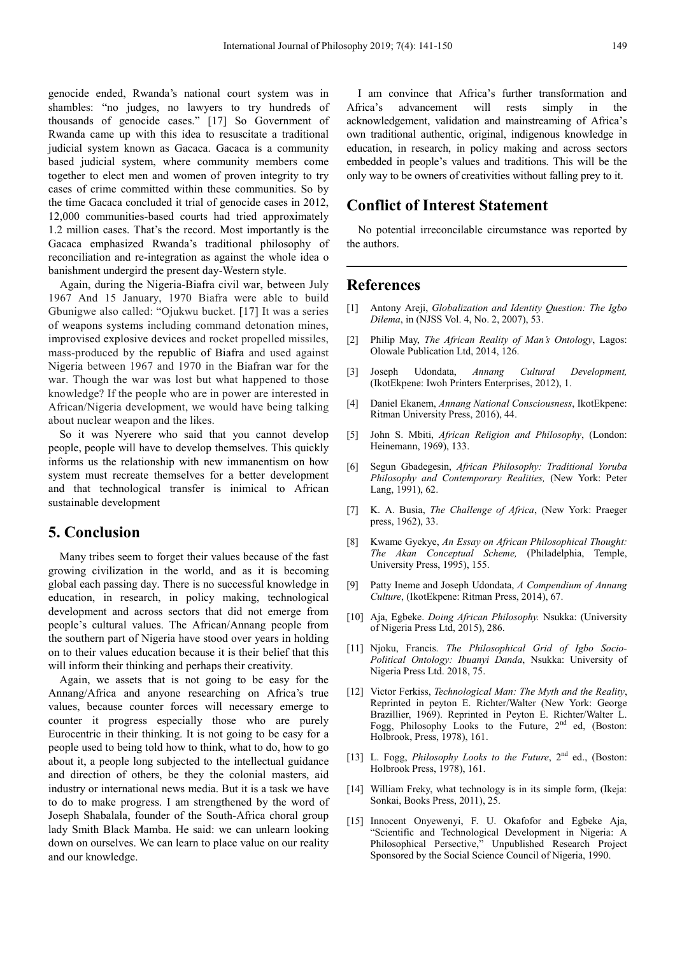genocide ended, Rwanda's national court system was in shambles: "no judges, no lawyers to try hundreds of thousands of genocide cases." [17] So Government of Rwanda came up with this idea to resuscitate a traditional judicial system known as Gacaca. Gacaca is a community based judicial system, where community members come together to elect men and women of proven integrity to try cases of crime committed within these communities. So by the time Gacaca concluded it trial of genocide cases in 2012, 12,000 communities-based courts had tried approximately 1.2 million cases. That's the record. Most importantly is the Gacaca emphasized Rwanda's traditional philosophy of reconciliation and re-integration as against the whole idea o banishment undergird the present day-Western style.

Again, during the Nigeria-Biafra civil war, between July 1967 And 15 January, 1970 Biafra were able to build Gbunigwe also called: "Ojukwu bucket. [17] It was a series of weapons systems including command detonation mines, improvised explosive devices and rocket propelled missiles, mass-produced by the republic of Biafra and used against Nigeria between 1967 and 1970 in the Biafran war for the war. Though the war was lost but what happened to those knowledge? If the people who are in power are interested in African/Nigeria development, we would have being talking about nuclear weapon and the likes.

So it was Nyerere who said that you cannot develop people, people will have to develop themselves. This quickly informs us the relationship with new immanentism on how system must recreate themselves for a better development and that technological transfer is inimical to African sustainable development

## **5. Conclusion**

Many tribes seem to forget their values because of the fast growing civilization in the world, and as it is becoming global each passing day. There is no successful knowledge in education, in research, in policy making, technological development and across sectors that did not emerge from people's cultural values. The African/Annang people from the southern part of Nigeria have stood over years in holding on to their values education because it is their belief that this will inform their thinking and perhaps their creativity.

Again, we assets that is not going to be easy for the Annang/Africa and anyone researching on Africa's true values, because counter forces will necessary emerge to counter it progress especially those who are purely Eurocentric in their thinking. It is not going to be easy for a people used to being told how to think, what to do, how to go about it, a people long subjected to the intellectual guidance and direction of others, be they the colonial masters, aid industry or international news media. But it is a task we have to do to make progress. I am strengthened by the word of Joseph Shabalala, founder of the South-Africa choral group lady Smith Black Mamba. He said: we can unlearn looking down on ourselves. We can learn to place value on our reality and our knowledge.

I am convince that Africa's further transformation and Africa's advancement will rests simply in the acknowledgement, validation and mainstreaming of Africa's own traditional authentic, original, indigenous knowledge in education, in research, in policy making and across sectors embedded in people's values and traditions. This will be the only way to be owners of creativities without falling prey to it.

### **Conflict of Interest Statement**

No potential irreconcilable circumstance was reported by the authors.

## **References**

- [1] Antony Areji, *Globalization and Identity Question: The Igbo Dilema*, in (NJSS Vol. 4, No. 2, 2007), 53.
- [2] Philip May, *The African Reality of Man's Ontology*, Lagos: Olowale Publication Ltd, 2014, 126.
- [3] Joseph Udondata, *Annang Cultural Development,* (IkotEkpene: Iwoh Printers Enterprises, 2012), 1.
- [4] Daniel Ekanem, *Annang National Consciousness*, IkotEkpene: Ritman University Press, 2016), 44.
- [5] John S. Mbiti, *African Religion and Philosophy*, (London: Heinemann, 1969), 133.
- [6] Segun Gbadegesin, *African Philosophy: Traditional Yoruba Philosophy and Contemporary Realities,* (New York: Peter Lang, 1991), 62.
- [7] K. A. Busia, *The Challenge of Africa*, (New York: Praeger press, 1962), 33.
- [8] Kwame Gyekye, *An Essay on African Philosophical Thought: The Akan Conceptual Scheme,* (Philadelphia, Temple, University Press, 1995), 155.
- [9] Patty Ineme and Joseph Udondata, *A Compendium of Annang Culture*, (IkotEkpene: Ritman Press, 2014), 67.
- [10] Aja, Egbeke. *Doing African Philosophy.* Nsukka: (University of Nigeria Press Ltd, 2015), 286.
- [11] Njoku, Francis. *The Philosophical Grid of Igbo Socio-Political Ontology: Ibuanyi Danda*, Nsukka: University of Nigeria Press Ltd. 2018, 75.
- [12] Victor Ferkiss, *Technological Man: The Myth and the Reality*, Reprinted in peyton E. Richter/Walter (New York: George Brazillier, 1969). Reprinted in Peyton E. Richter/Walter L. Fogg, Philosophy Looks to the Future, 2<sup>nd</sup> ed, (Boston: Holbrook, Press, 1978), 161.
- [13] L. Fogg, *Philosophy Looks to the Future*, 2<sup>nd</sup> ed., (Boston: Holbrook Press, 1978), 161.
- [14] William Freky, what technology is in its simple form, (Ikeja: Sonkai, Books Press, 2011), 25.
- [15] Innocent Onyewenyi, F. U. Okafofor and Egbeke Aja, "Scientific and Technological Development in Nigeria: A Philosophical Persective," Unpublished Research Project Sponsored by the Social Science Council of Nigeria, 1990.